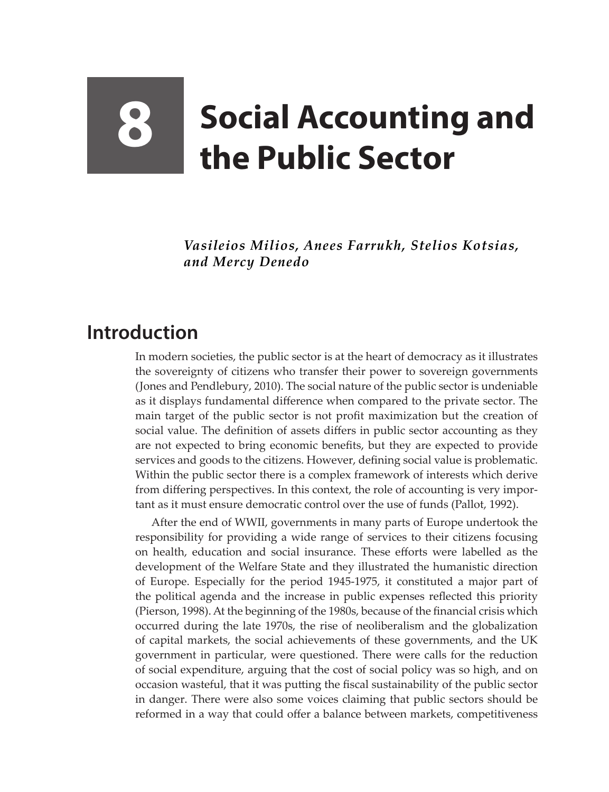## **8 Social Accounting and the Public Sector**

*Vasileios Milios, Anees Farrukh, Stelios Kotsias, and Mercy Denedo*

## **Introduction**

In modern societies, the public sector is at the heart of democracy as it illustrates the sovereignty of citizens who transfer their power to sovereign governments (Jones and Pendlebury, 2010). The social nature of the public sector is undeniable as it displays fundamental difference when compared to the private sector. The main target of the public sector is not profit maximization but the creation of social value. The definition of assets differs in public sector accounting as they are not expected to bring economic benefits, but they are expected to provide services and goods to the citizens. However, defining social value is problematic. Within the public sector there is a complex framework of interests which derive from differing perspectives. In this context, the role of accounting is very important as it must ensure democratic control over the use of funds (Pallot, 1992).

After the end of WWII, governments in many parts of Europe undertook the responsibility for providing a wide range of services to their citizens focusing on health, education and social insurance. These efforts were labelled as the development of the Welfare State and they illustrated the humanistic direction of Europe. Especially for the period 1945-1975, it constituted a major part of the political agenda and the increase in public expenses reflected this priority (Pierson, 1998). At the beginning of the 1980s, because of the financial crisis which occurred during the late 1970s, the rise of neoliberalism and the globalization of capital markets, the social achievements of these governments, and the UK government in particular, were questioned. There were calls for the reduction of social expenditure, arguing that the cost of social policy was so high, and on occasion wasteful, that it was putting the fiscal sustainability of the public sector in danger. There were also some voices claiming that public sectors should be reformed in a way that could offer a balance between markets, competitiveness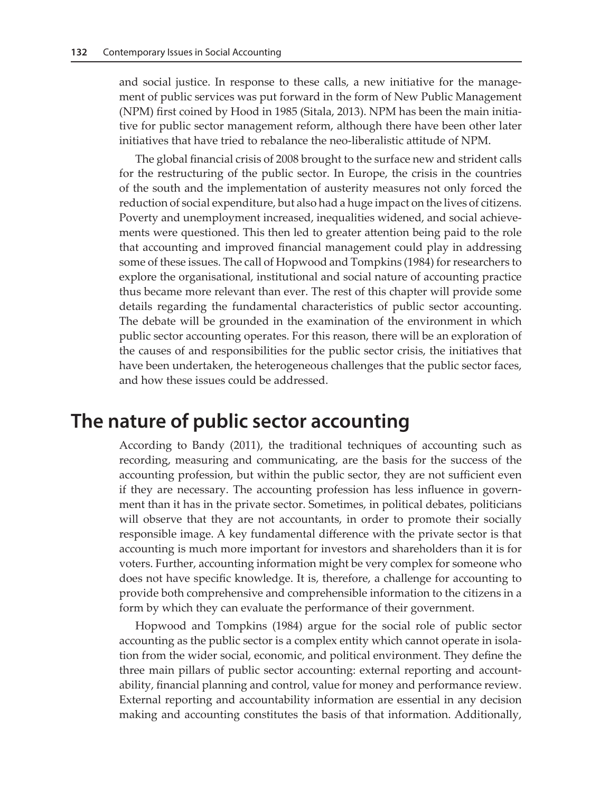and social justice. In response to these calls, a new initiative for the management of public services was put forward in the form of New Public Management (NPM) first coined by Hood in 1985 (Sitala, 2013). NPM has been the main initiative for public sector management reform, although there have been other later initiatives that have tried to rebalance the neo-liberalistic attitude of NPM.

The global financial crisis of 2008 brought to the surface new and strident calls for the restructuring of the public sector. In Europe, the crisis in the countries of the south and the implementation of austerity measures not only forced the reduction of social expenditure, but also had a huge impact on the lives of citizens. Poverty and unemployment increased, inequalities widened, and social achievements were questioned. This then led to greater attention being paid to the role that accounting and improved financial management could play in addressing some of these issues. The call of Hopwood and Tompkins (1984) for researchers to explore the organisational, institutional and social nature of accounting practice thus became more relevant than ever. The rest of this chapter will provide some details regarding the fundamental characteristics of public sector accounting. The debate will be grounded in the examination of the environment in which public sector accounting operates. For this reason, there will be an exploration of the causes of and responsibilities for the public sector crisis, the initiatives that have been undertaken, the heterogeneous challenges that the public sector faces, and how these issues could be addressed.

## **The nature of public sector accounting**

According to Bandy (2011), the traditional techniques of accounting such as recording, measuring and communicating, are the basis for the success of the accounting profession, but within the public sector, they are not sufficient even if they are necessary. The accounting profession has less influence in government than it has in the private sector. Sometimes, in political debates, politicians will observe that they are not accountants, in order to promote their socially responsible image. A key fundamental difference with the private sector is that accounting is much more important for investors and shareholders than it is for voters. Further, accounting information might be very complex for someone who does not have specific knowledge. It is, therefore, a challenge for accounting to provide both comprehensive and comprehensible information to the citizens in a form by which they can evaluate the performance of their government.

Hopwood and Tompkins (1984) argue for the social role of public sector accounting as the public sector is a complex entity which cannot operate in isolation from the wider social, economic, and political environment. They define the three main pillars of public sector accounting: external reporting and accountability, financial planning and control, value for money and performance review. External reporting and accountability information are essential in any decision making and accounting constitutes the basis of that information. Additionally,